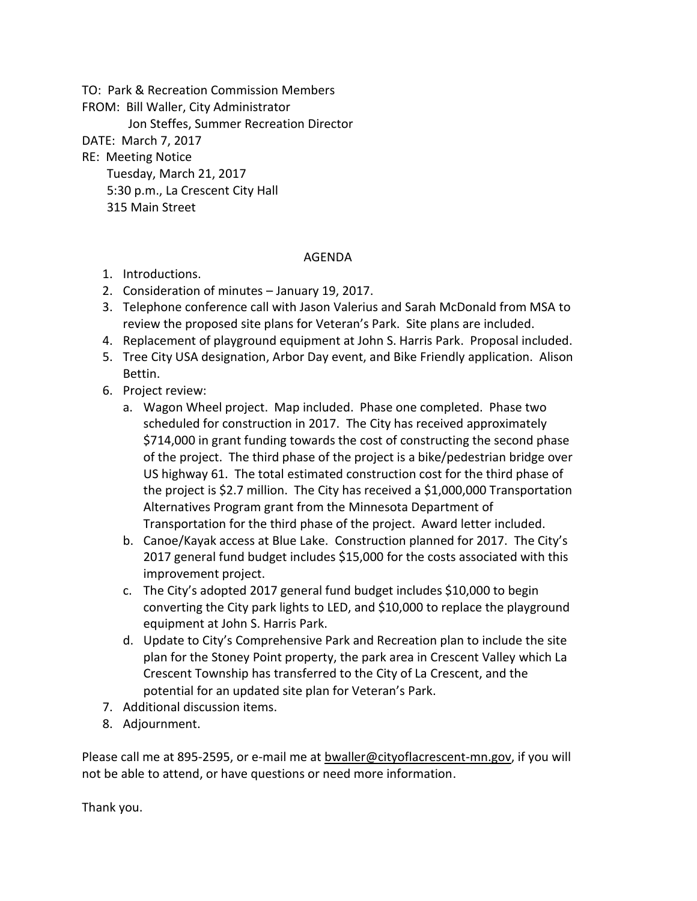TO: Park & Recreation Commission Members

FROM: Bill Waller, City Administrator

Jon Steffes, Summer Recreation Director

DATE: March 7, 2017

RE: Meeting Notice

Tuesday, March 21, 2017

5:30 p.m., La Crescent City Hall

315 Main Street

## AGENDA

- 1. Introductions.
- 2. Consideration of minutes January 19, 2017.
- 3. Telephone conference call with Jason Valerius and Sarah McDonald from MSA to review the proposed site plans for Veteran's Park. Site plans are included.
- 4. Replacement of playground equipment at John S. Harris Park. Proposal included.
- 5. Tree City USA designation, Arbor Day event, and Bike Friendly application. Alison Bettin.
- 6. Project review:
	- a. Wagon Wheel project. Map included. Phase one completed. Phase two scheduled for construction in 2017. The City has received approximately \$714,000 in grant funding towards the cost of constructing the second phase of the project. The third phase of the project is a bike/pedestrian bridge over US highway 61. The total estimated construction cost for the third phase of the project is \$2.7 million. The City has received a \$1,000,000 Transportation Alternatives Program grant from the Minnesota Department of Transportation for the third phase of the project. Award letter included.
	- b. Canoe/Kayak access at Blue Lake. Construction planned for 2017. The City's 2017 general fund budget includes \$15,000 for the costs associated with this improvement project.
	- c. The City's adopted 2017 general fund budget includes \$10,000 to begin converting the City park lights to LED, and \$10,000 to replace the playground equipment at John S. Harris Park.
	- d. Update to City's Comprehensive Park and Recreation plan to include the site plan for the Stoney Point property, the park area in Crescent Valley which La Crescent Township has transferred to the City of La Crescent, and the potential for an updated site plan for Veteran's Park.
- 7. Additional discussion items.
- 8. Adjournment.

Please call me at 895-2595, or e-mail me at bwaller@cityoflacrescent-mn.gov, if you will not be able to attend, or have questions or need more information.

Thank you.